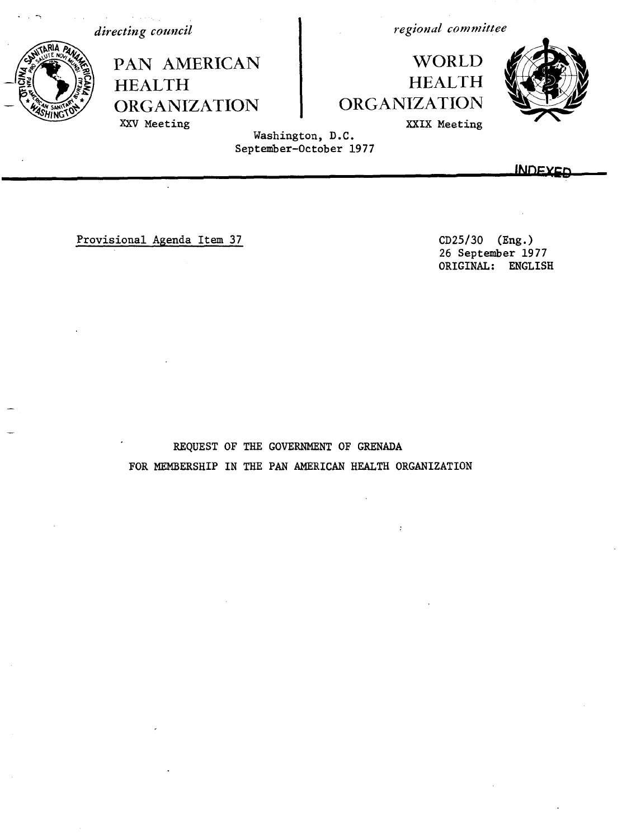*directing council*

HEALTH

XXV Meeting

PAN AMERICAN

ORGANIZATION

*regional committee*

## WORLD HEALTH **ORGANIZATION**



XXIX Meeting

Washington, D.C. September-October 1977

**JbINu)Ex**

Provisional Agenda Item 37 CD25/30 (Eng.)

26 September 1977 ORIGINAL: ENGLISH

REQUEST OF THE GOVERNMENT OF GRENADA FOR MEMBERSHIP IN THE PAN AMERICAN HEALTH ORGANIZATION